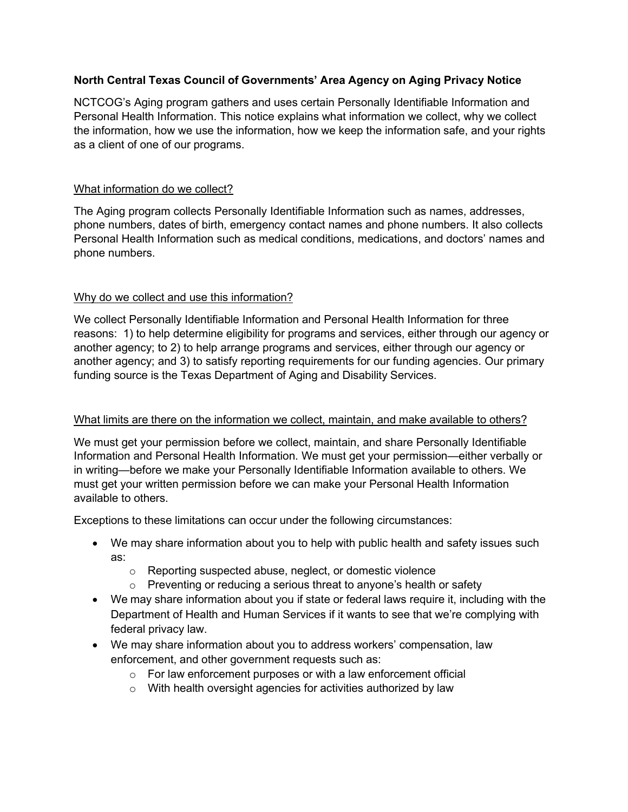# **North Central Texas Council of Governments' Area Agency on Aging Privacy Notice**

NCTCOG's Aging program gathers and uses certain Personally Identifiable Information and Personal Health Information. This notice explains what information we collect, why we collect the information, how we use the information, how we keep the information safe, and your rights as a client of one of our programs.

### What information do we collect?

The Aging program collects Personally Identifiable Information such as names, addresses, phone numbers, dates of birth, emergency contact names and phone numbers. It also collects Personal Health Information such as medical conditions, medications, and doctors' names and phone numbers.

### Why do we collect and use this information?

We collect Personally Identifiable Information and Personal Health Information for three reasons: 1) to help determine eligibility for programs and services, either through our agency or another agency; to 2) to help arrange programs and services, either through our agency or another agency; and 3) to satisfy reporting requirements for our funding agencies. Our primary funding source is the Texas Department of Aging and Disability Services.

#### What limits are there on the information we collect, maintain, and make available to others?

We must get your permission before we collect, maintain, and share Personally Identifiable Information and Personal Health Information. We must get your permission—either verbally or in writing—before we make your Personally Identifiable Information available to others. We must get your written permission before we can make your Personal Health Information available to others.

Exceptions to these limitations can occur under the following circumstances:

- We may share information about you to help with public health and safety issues such as:
	- o Reporting suspected abuse, neglect, or domestic violence
	- $\circ$  Preventing or reducing a serious threat to anyone's health or safety
- We may share information about you if state or federal laws require it, including with the Department of Health and Human Services if it wants to see that we're complying with federal privacy law.
- We may share information about you to address workers' compensation, law enforcement, and other government requests such as:
	- $\circ$  For law enforcement purposes or with a law enforcement official
	- o With health oversight agencies for activities authorized by law